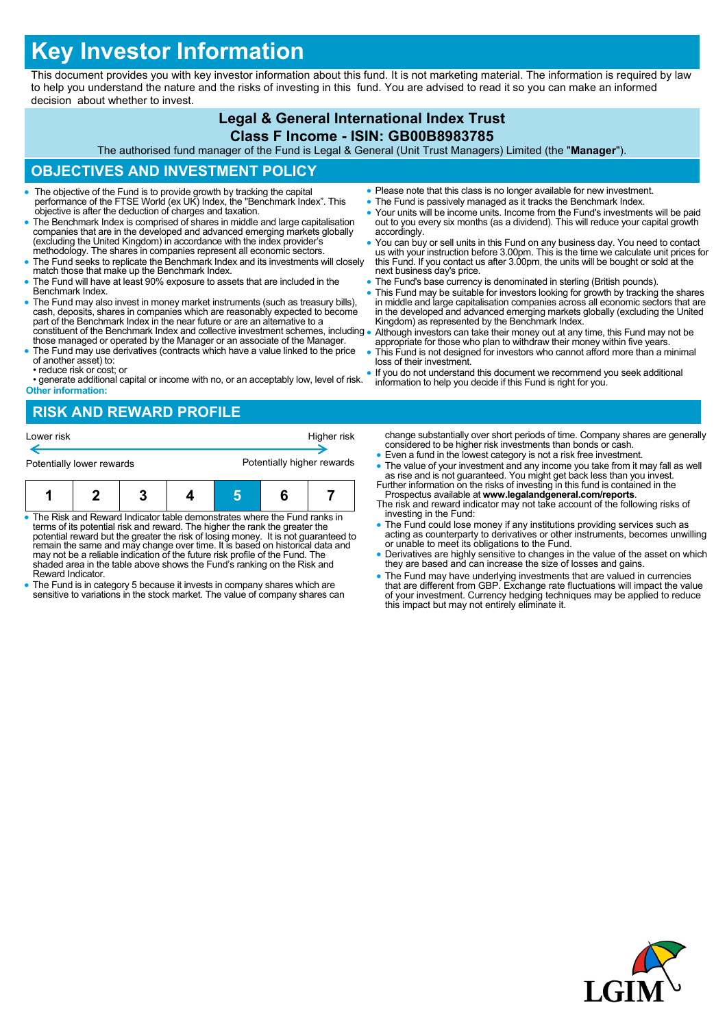# **Key Investor Information**

This document provides you with key investor information about this fund. It is not marketing material. The information is required by law to help you understand the nature and the risks of investing in this fund. You are advised to read it so you can make an informed decision about whether to invest.

## **Legal & General International Index Trust**

## **Class F Income - ISIN: GB00B8983785**

The authorised fund manager of the Fund is Legal & General (Unit Trust Managers) Limited (the "**Manager**").

## **OBJECTIVES AND INVESTMENT POLICY**

- The objective of the Fund is to provide growth by tracking the capital performance of the FTSE World (ex UK) Index, the "Benchmark Index". This objective is after the deduction of charges and taxation.
- The Benchmark Index is comprised of shares in middle and large capitalisation companies that are in the developed and advanced emerging markets globally (excluding the United Kingdom) in accordance with the index provider's methodology. The shares in companies represent all economic sectors.
- The Fund seeks to replicate the Benchmark Index and its investments will closely match those that make up the Benchmark Index.
- The Fund will have at least 90% exposure to assets that are included in the Benchmark Index.
- The Fund may also invest in money market instruments (such as treasury bills), cash, deposits, shares in companies which are reasonably expected to become part of the Benchmark Index in the near future or are an alternative to a constituent of the Benchmark Index and collective investment schemes, including .
- those managed or operated by the Manager or an associate of the Manager. The Fund may use derivatives (contracts which have a value linked to the price of another asset) to:
- reduce risk or cost; or
- generate additional capital or income with no, or an acceptably low, level of risk. **Other information:**

## **RISK AND REWARD PROFILE**

| Lower risk                |  |  | Higher risk<br>Potentially higher rewards |  |  |  |
|---------------------------|--|--|-------------------------------------------|--|--|--|
| Potentially lower rewards |  |  |                                           |  |  |  |
|                           |  |  |                                           |  |  |  |

| The Risk and Reward Indicator table demonstrates where the Fund ranks in |  |  |  |  |  |  |
|--------------------------------------------------------------------------|--|--|--|--|--|--|

- The Risk and Reward Indicator table demonstrates where the Fund ranks in terms of its potential risk and reward. The higher the rank the greater the potential reward but the greater the risk of losing money. It is not guaranteed to remain the same and may change over time. It is based on historical data and may not be a reliable indication of the future risk profile of the Fund. The shaded area in the table above shows the Fund's ranking on the Risk and Reward Indicator.
- The Fund is in category 5 because it invests in company shares which are sensitive to variations in the stock market. The value of company shares can
- Please note that this class is no longer available for new investment.
- The Fund is passively managed as it tracks the Benchmark Index.
- Your units will be income units. Income from the Fund's investments will be paid out to you every six months (as a dividend). This will reduce your capital growth accordingly.
- You can buy or sell units in this Fund on any business day. You need to contact us with your instruction before 3.00pm. This is the time we calculate unit prices for this Fund. If you contact us after 3.00pm, the units will be bought or sold at the next business day's price.
- The Fund's base currency is denominated in sterling (British pounds).
- This Fund may be suitable for investors looking for growth by tracking the shares in middle and large capitalisation companies across all economic sectors that are in the developed and advanced emerging markets globally (excluding the United Kingdom) as represented by the Benchmark Index.
- Although investors can take their money out at any time, this Fund may not be appropriate for those who plan to withdraw their money within five years.
- This Fund is not designed for investors who cannot afford more than a minimal loss of their investment.
- If you do not understand this document we recommend you seek additional information to help you decide if this Fund is right for you.

change substantially over short periods of time. Company shares are generally considered to be higher risk investments than bonds or cash.

- Even a fund in the lowest category is not a risk free investment.
- The value of your investment and any income you take from it may fall as well as rise and is not guaranteed. You might get back less than you invest. Further information on the risks of investing in this fund is contained in the
- Prospectus available at **www.legalandgeneral.com/reports**. The risk and reward indicator may not take account of the following risks of investing in the Fund:
- The Fund could lose money if any institutions providing services such as acting as counterparty to derivatives or other instruments, becomes unwilling or unable to meet its obligations to the Fund.
- Derivatives are highly sensitive to changes in the value of the asset on which they are based and can increase the size of losses and gains.
- The Fund may have underlying investments that are valued in currencies that are different from GBP. Exchange rate fluctuations will impact the value of your investment. Currency hedging techniques may be applied to reduce this impact but may not entirely eliminate it.